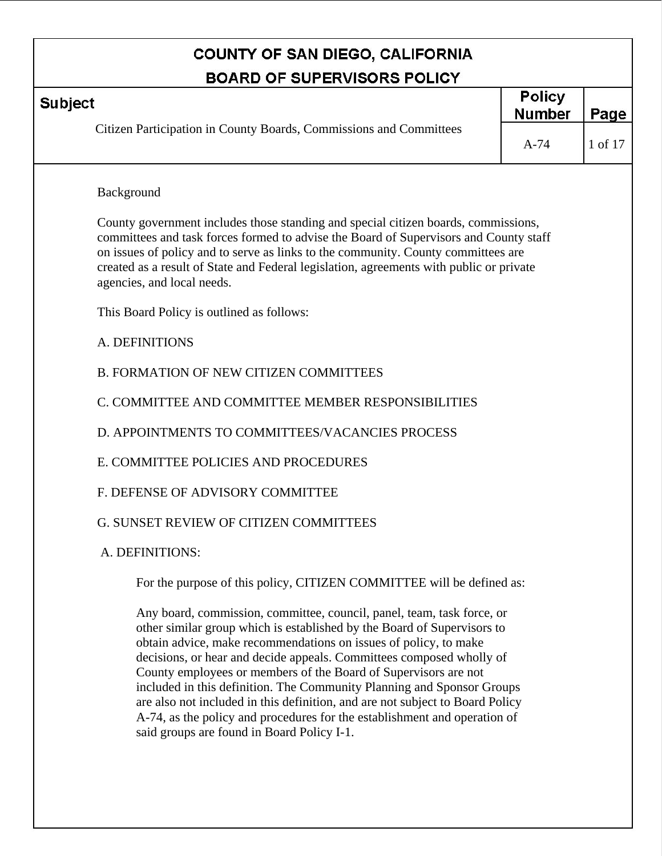г

|                | <b>COUNTY OF SAN DIEGO, CALIFORNIA</b>                                                                                                                                                                                                                                                                                                                                                                                                     |                                |         |
|----------------|--------------------------------------------------------------------------------------------------------------------------------------------------------------------------------------------------------------------------------------------------------------------------------------------------------------------------------------------------------------------------------------------------------------------------------------------|--------------------------------|---------|
|                | <b>BOARD OF SUPERVISORS POLICY</b>                                                                                                                                                                                                                                                                                                                                                                                                         |                                |         |
| <b>Subject</b> |                                                                                                                                                                                                                                                                                                                                                                                                                                            | <b>Policy</b><br><b>Number</b> | Page    |
|                | Citizen Participation in County Boards, Commissions and Committees                                                                                                                                                                                                                                                                                                                                                                         | $A-74$                         | 1 of 17 |
|                | Background                                                                                                                                                                                                                                                                                                                                                                                                                                 |                                |         |
|                | County government includes those standing and special citizen boards, commissions,<br>committees and task forces formed to advise the Board of Supervisors and County staff<br>on issues of policy and to serve as links to the community. County committees are<br>created as a result of State and Federal legislation, agreements with public or private<br>agencies, and local needs.                                                  |                                |         |
|                | This Board Policy is outlined as follows:                                                                                                                                                                                                                                                                                                                                                                                                  |                                |         |
|                | A. DEFINITIONS                                                                                                                                                                                                                                                                                                                                                                                                                             |                                |         |
|                | <b>B. FORMATION OF NEW CITIZEN COMMITTEES</b>                                                                                                                                                                                                                                                                                                                                                                                              |                                |         |
|                | C. COMMITTEE AND COMMITTEE MEMBER RESPONSIBILITIES                                                                                                                                                                                                                                                                                                                                                                                         |                                |         |
|                | D. APPOINTMENTS TO COMMITTEES/VACANCIES PROCESS                                                                                                                                                                                                                                                                                                                                                                                            |                                |         |
|                | E. COMMITTEE POLICIES AND PROCEDURES                                                                                                                                                                                                                                                                                                                                                                                                       |                                |         |
|                | F. DEFENSE OF ADVISORY COMMITTEE                                                                                                                                                                                                                                                                                                                                                                                                           |                                |         |
|                | <b>G. SUNSET REVIEW OF CITIZEN COMMITTEES</b>                                                                                                                                                                                                                                                                                                                                                                                              |                                |         |
|                | A. DEFINITIONS:                                                                                                                                                                                                                                                                                                                                                                                                                            |                                |         |
|                | For the purpose of this policy, CITIZEN COMMITTEE will be defined as:                                                                                                                                                                                                                                                                                                                                                                      |                                |         |
|                | Any board, commission, committee, council, panel, team, task force, or<br>other similar group which is established by the Board of Supervisors to<br>obtain advice, make recommendations on issues of policy, to make<br>decisions, or hear and decide appeals. Committees composed wholly of<br>County employees or members of the Board of Supervisors are not<br>included in this definition. The Community Planning and Sponsor Groups |                                |         |

included in this definition. The Community Planning and Sponsor Groups are also not included in this definition, and are not subject to Board Policy A-74, as the policy and procedures for the establishment and operation of said groups are found in Board Policy I-1.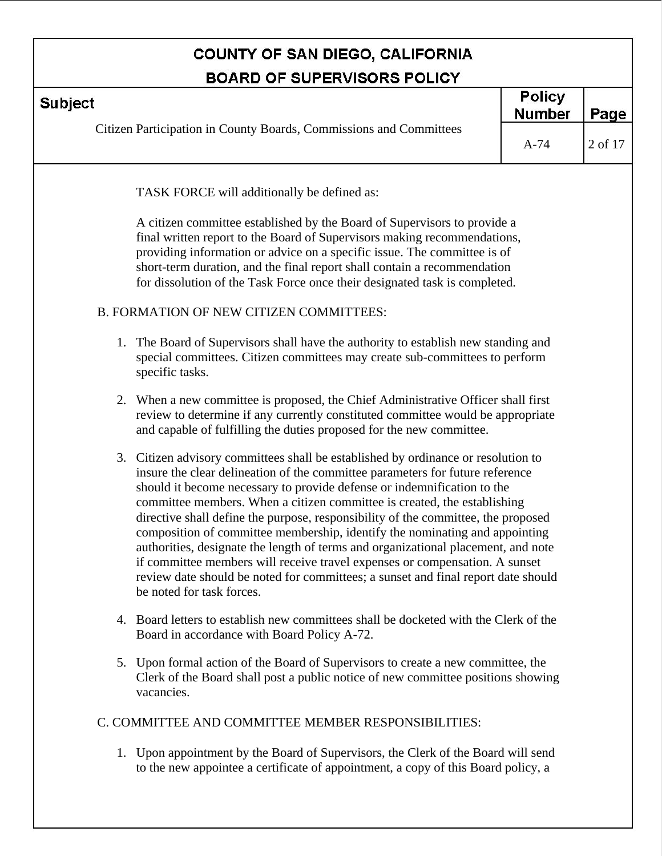| <b>BOARD OF SUPERVISORS POLICY</b>                                                                                                                                                                                                                                                                                                                                                                                                                                                                                                                                                                                                                                                                                                                                                  |                                |         |
|-------------------------------------------------------------------------------------------------------------------------------------------------------------------------------------------------------------------------------------------------------------------------------------------------------------------------------------------------------------------------------------------------------------------------------------------------------------------------------------------------------------------------------------------------------------------------------------------------------------------------------------------------------------------------------------------------------------------------------------------------------------------------------------|--------------------------------|---------|
| <b>Subject</b>                                                                                                                                                                                                                                                                                                                                                                                                                                                                                                                                                                                                                                                                                                                                                                      | <b>Policy</b><br><b>Number</b> | Page    |
| Citizen Participation in County Boards, Commissions and Committees                                                                                                                                                                                                                                                                                                                                                                                                                                                                                                                                                                                                                                                                                                                  | $A-74$                         | 2 of 17 |
| TASK FORCE will additionally be defined as:                                                                                                                                                                                                                                                                                                                                                                                                                                                                                                                                                                                                                                                                                                                                         |                                |         |
| A citizen committee established by the Board of Supervisors to provide a<br>final written report to the Board of Supervisors making recommendations,<br>providing information or advice on a specific issue. The committee is of<br>short-term duration, and the final report shall contain a recommendation<br>for dissolution of the Task Force once their designated task is completed.                                                                                                                                                                                                                                                                                                                                                                                          |                                |         |
| B. FORMATION OF NEW CITIZEN COMMITTEES:                                                                                                                                                                                                                                                                                                                                                                                                                                                                                                                                                                                                                                                                                                                                             |                                |         |
| 1. The Board of Supervisors shall have the authority to establish new standing and<br>special committees. Citizen committees may create sub-committees to perform<br>specific tasks.                                                                                                                                                                                                                                                                                                                                                                                                                                                                                                                                                                                                |                                |         |
| 2. When a new committee is proposed, the Chief Administrative Officer shall first<br>review to determine if any currently constituted committee would be appropriate<br>and capable of fulfilling the duties proposed for the new committee.                                                                                                                                                                                                                                                                                                                                                                                                                                                                                                                                        |                                |         |
| 3. Citizen advisory committees shall be established by ordinance or resolution to<br>insure the clear delineation of the committee parameters for future reference<br>should it become necessary to provide defense or indemnification to the<br>committee members. When a citizen committee is created, the establishing<br>directive shall define the purpose, responsibility of the committee, the proposed<br>composition of committee membership, identify the nominating and appointing<br>authorities, designate the length of terms and organizational placement, and note<br>if committee members will receive travel expenses or compensation. A sunset<br>review date should be noted for committees; a sunset and final report date should<br>be noted for task forces. |                                |         |
| 4. Board letters to establish new committees shall be docketed with the Clerk of the<br>Board in accordance with Board Policy A-72.                                                                                                                                                                                                                                                                                                                                                                                                                                                                                                                                                                                                                                                 |                                |         |
| 5. Upon formal action of the Board of Supervisors to create a new committee, the<br>Clerk of the Board shall post a public notice of new committee positions showing<br>vacancies.                                                                                                                                                                                                                                                                                                                                                                                                                                                                                                                                                                                                  |                                |         |
| C. COMMITTEE AND COMMITTEE MEMBER RESPONSIBILITIES:                                                                                                                                                                                                                                                                                                                                                                                                                                                                                                                                                                                                                                                                                                                                 |                                |         |

1. Upon appointment by the Board of Supervisors, the Clerk of the Board will send to the new appointee a certificate of appointment, a copy of this Board policy, a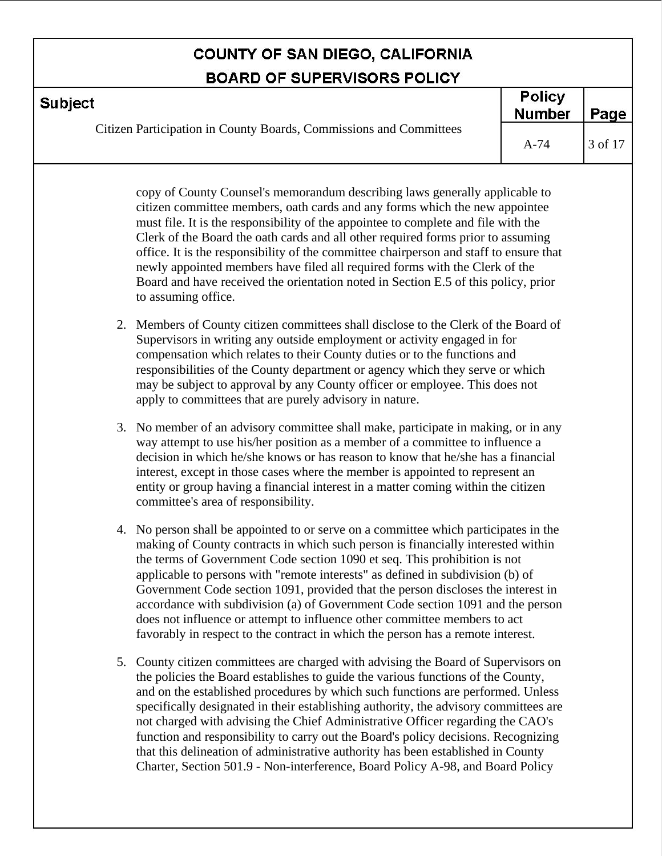| <b>BOARD OF SUPERVISORS POLICY</b>                                                                                                                                                                                                                                                                                                   |                                |         |
|--------------------------------------------------------------------------------------------------------------------------------------------------------------------------------------------------------------------------------------------------------------------------------------------------------------------------------------|--------------------------------|---------|
| <b>Subject</b>                                                                                                                                                                                                                                                                                                                       | <b>Policy</b><br><b>Number</b> | Page    |
| Citizen Participation in County Boards, Commissions and Committees                                                                                                                                                                                                                                                                   | $A-74$                         | 3 of 17 |
| copy of County Counsel's memorandum describing laws generally applicable to<br>citizen committee members, oath cards and any forms which the new appointee<br>must file. It is the responsibility of the appointee to complete and file with the<br>Clerk of the Board the oath aards and all other required forms prior to assuming |                                |         |

Clerk of the Board the oath cards and all other required forms prior to assuming office. It is the responsibility of the committee chairperson and staff to ensure that newly appointed members have filed all required forms with the Clerk of the Board and have received the orientation noted in Section E.5 of this policy, prior to assuming office.

- 2. Members of County citizen committees shall disclose to the Clerk of the Board of Supervisors in writing any outside employment or activity engaged in for compensation which relates to their County duties or to the functions and responsibilities of the County department or agency which they serve or which may be subject to approval by any County officer or employee. This does not apply to committees that are purely advisory in nature.
- 3. No member of an advisory committee shall make, participate in making, or in any way attempt to use his/her position as a member of a committee to influence a decision in which he/she knows or has reason to know that he/she has a financial interest, except in those cases where the member is appointed to represent an entity or group having a financial interest in a matter coming within the citizen committee's area of responsibility.
- 4. No person shall be appointed to or serve on a committee which participates in the making of County contracts in which such person is financially interested within the terms of Government Code section 1090 et seq. This prohibition is not applicable to persons with "remote interests" as defined in subdivision (b) of Government Code section 1091, provided that the person discloses the interest in accordance with subdivision (a) of Government Code section 1091 and the person does not influence or attempt to influence other committee members to act favorably in respect to the contract in which the person has a remote interest.
- 5. County citizen committees are charged with advising the Board of Supervisors on the policies the Board establishes to guide the various functions of the County, and on the established procedures by which such functions are performed. Unless specifically designated in their establishing authority, the advisory committees are not charged with advising the Chief Administrative Officer regarding the CAO's function and responsibility to carry out the Board's policy decisions. Recognizing that this delineation of administrative authority has been established in County Charter, Section 501.9 - Non-interference, Board Policy A-98, and Board Policy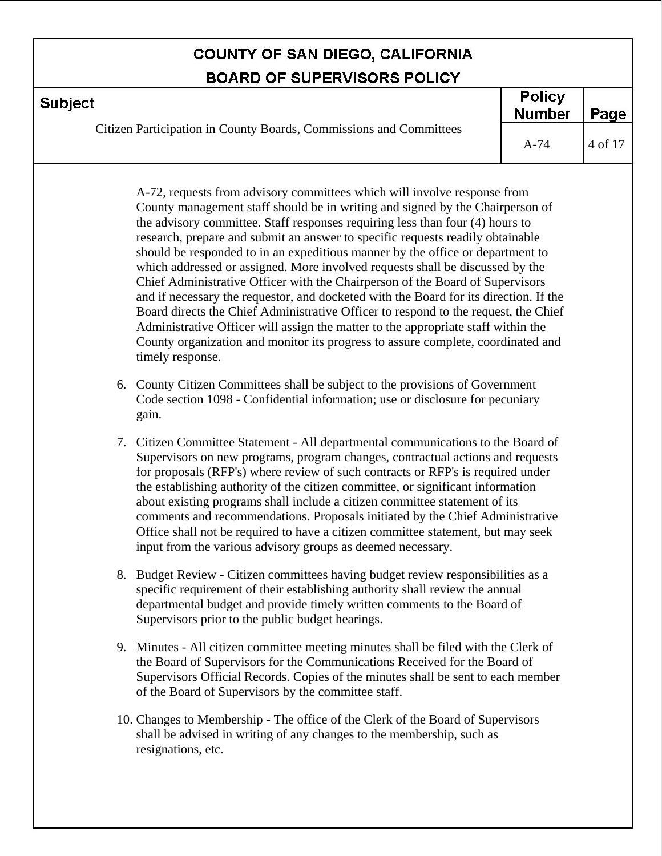| <b>BOARD OF SUPERVISORS POLICY</b>                                                                                                                                                                                                                                                                                                                                                                                                                                                                                                                                                                                                                                                                                                                                                                                                                                                                                                                                                                                                             |        |         |  |  |
|------------------------------------------------------------------------------------------------------------------------------------------------------------------------------------------------------------------------------------------------------------------------------------------------------------------------------------------------------------------------------------------------------------------------------------------------------------------------------------------------------------------------------------------------------------------------------------------------------------------------------------------------------------------------------------------------------------------------------------------------------------------------------------------------------------------------------------------------------------------------------------------------------------------------------------------------------------------------------------------------------------------------------------------------|--------|---------|--|--|
| <b>Subject</b>                                                                                                                                                                                                                                                                                                                                                                                                                                                                                                                                                                                                                                                                                                                                                                                                                                                                                                                                                                                                                                 |        | Page    |  |  |
| Citizen Participation in County Boards, Commissions and Committees                                                                                                                                                                                                                                                                                                                                                                                                                                                                                                                                                                                                                                                                                                                                                                                                                                                                                                                                                                             | $A-74$ | 4 of 17 |  |  |
| A-72, requests from advisory committees which will involve response from<br>County management staff should be in writing and signed by the Chairperson of<br>the advisory committee. Staff responses requiring less than four (4) hours to<br>research, prepare and submit an answer to specific requests readily obtainable<br>should be responded to in an expeditious manner by the office or department to<br>which addressed or assigned. More involved requests shall be discussed by the<br>Chief Administrative Officer with the Chairperson of the Board of Supervisors<br>and if necessary the requestor, and docketed with the Board for its direction. If the<br>Board directs the Chief Administrative Officer to respond to the request, the Chief<br>Administrative Officer will assign the matter to the appropriate staff within the<br>County organization and monitor its progress to assure complete, coordinated and<br>timely response.<br>6. County Citizen Committees shall be subject to the provisions of Government |        |         |  |  |
| Code section 1098 - Confidential information; use or disclosure for pecuniary<br>gain.                                                                                                                                                                                                                                                                                                                                                                                                                                                                                                                                                                                                                                                                                                                                                                                                                                                                                                                                                         |        |         |  |  |
| 7. Citizen Committee Statement - All departmental communications to the Board of<br>Supervisors on new programs, program changes, contractual actions and requests<br>for proposals (RFP's) where review of such contracts or RFP's is required under<br>the establishing authority of the citizen committee, or significant information<br>about existing programs shall include a citizen committee statement of its<br>comments and recommendations. Proposals initiated by the Chief Administrative<br>Office shall not be required to have a citizen committee statement, but may seek<br>input from the various advisory groups as deemed necessary.                                                                                                                                                                                                                                                                                                                                                                                     |        |         |  |  |
| 8. Budget Review - Citizen committees having budget review responsibilities as a                                                                                                                                                                                                                                                                                                                                                                                                                                                                                                                                                                                                                                                                                                                                                                                                                                                                                                                                                               |        |         |  |  |

- specific requirement of their establishing authority shall review the annual departmental budget and provide timely written comments to the Board of Supervisors prior to the public budget hearings.
- 9. Minutes All citizen committee meeting minutes shall be filed with the Clerk of the Board of Supervisors for the Communications Received for the Board of Supervisors Official Records. Copies of the minutes shall be sent to each member of the Board of Supervisors by the committee staff.
- 10. Changes to Membership The office of the Clerk of the Board of Supervisors shall be advised in writing of any changes to the membership, such as resignations, etc.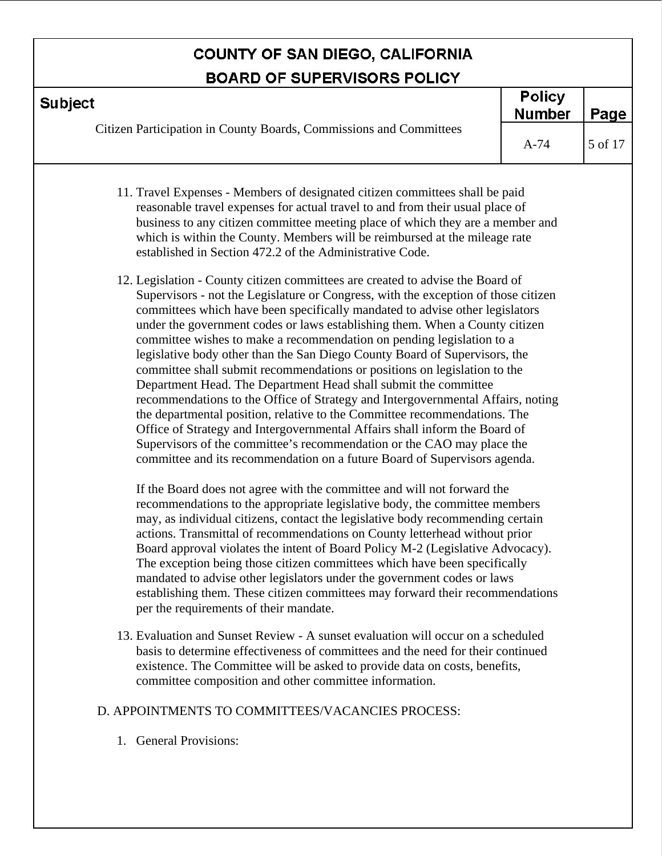| <b>BOARD OF SUPERVISORS POLICY</b>                                                                                                                                                                                                                                                                                                                                                                                                                                                                                                                                                                                                                                                                                                                                                                                                                                                                                                                            |                                |         |  |
|---------------------------------------------------------------------------------------------------------------------------------------------------------------------------------------------------------------------------------------------------------------------------------------------------------------------------------------------------------------------------------------------------------------------------------------------------------------------------------------------------------------------------------------------------------------------------------------------------------------------------------------------------------------------------------------------------------------------------------------------------------------------------------------------------------------------------------------------------------------------------------------------------------------------------------------------------------------|--------------------------------|---------|--|
| <b>Subject</b>                                                                                                                                                                                                                                                                                                                                                                                                                                                                                                                                                                                                                                                                                                                                                                                                                                                                                                                                                | <b>Policy</b><br><b>Number</b> | Page    |  |
| Citizen Participation in County Boards, Commissions and Committees                                                                                                                                                                                                                                                                                                                                                                                                                                                                                                                                                                                                                                                                                                                                                                                                                                                                                            | $A-74$                         | 5 of 17 |  |
| 11. Travel Expenses - Members of designated citizen committees shall be paid<br>reasonable travel expenses for actual travel to and from their usual place of<br>business to any citizen committee meeting place of which they are a member and<br>which is within the County. Members will be reimbursed at the mileage rate<br>established in Section 472.2 of the Administrative Code.<br>12. Legislation - County citizen committees are created to advise the Board of                                                                                                                                                                                                                                                                                                                                                                                                                                                                                   |                                |         |  |
| Supervisors - not the Legislature or Congress, with the exception of those citizen<br>committees which have been specifically mandated to advise other legislators<br>under the government codes or laws establishing them. When a County citizen<br>committee wishes to make a recommendation on pending legislation to a<br>legislative body other than the San Diego County Board of Supervisors, the<br>committee shall submit recommendations or positions on legislation to the<br>Department Head. The Department Head shall submit the committee<br>recommendations to the Office of Strategy and Intergovernmental Affairs, noting<br>the departmental position, relative to the Committee recommendations. The<br>Office of Strategy and Intergovernmental Affairs shall inform the Board of<br>Supervisors of the committee's recommendation or the CAO may place the<br>committee and its recommendation on a future Board of Supervisors agenda. |                                |         |  |
| If the Board does not agree with the committee and will not forward the<br>recommendations to the appropriate legislative body, the committee members<br>may, as individual citizens, contact the legislative body recommending certain<br>actions. Transmittal of recommendations on County letterhead without prior<br>Board approval violates the intent of Board Policy M-2 (Legislative Advocacy).<br>The exception being those citizen committees which have been specifically<br>mandated to advise other legislators under the government codes or laws<br>establishing them. These citizen committees may forward their recommendations<br>per the requirements of their mandate.                                                                                                                                                                                                                                                                    |                                |         |  |
| 13. Evaluation and Sunset Review - A sunset evaluation will occur on a scheduled<br>oin to determine offectiveness of committees and the need for their eas                                                                                                                                                                                                                                                                                                                                                                                                                                                                                                                                                                                                                                                                                                                                                                                                   |                                |         |  |

basis to determine effectiveness of committees and the need for their continued existence. The Committee will be asked to provide data on costs, benefits, committee composition and other committee information.

#### D. APPOINTMENTS TO COMMITTEES/VACANCIES PROCESS:

1. General Provisions: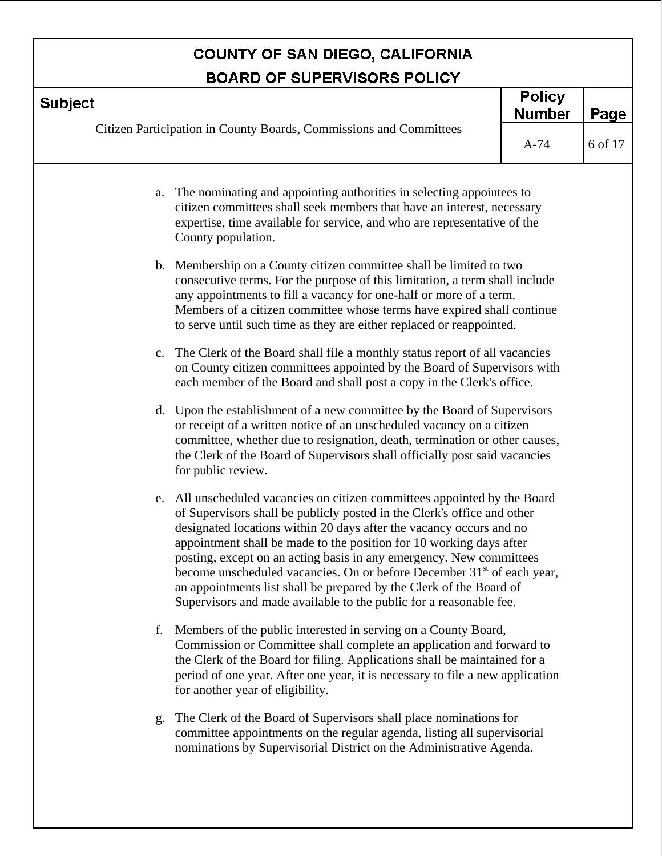|                | <b>BOARD OF SUPERVISORS POLICY</b>                                                                                                                                                                                                                                                                                                                                                                                                                                                                                                                                                                        |                                |         |
|----------------|-----------------------------------------------------------------------------------------------------------------------------------------------------------------------------------------------------------------------------------------------------------------------------------------------------------------------------------------------------------------------------------------------------------------------------------------------------------------------------------------------------------------------------------------------------------------------------------------------------------|--------------------------------|---------|
| <b>Subject</b> |                                                                                                                                                                                                                                                                                                                                                                                                                                                                                                                                                                                                           | <b>Policy</b><br><b>Number</b> | Page    |
|                | Citizen Participation in County Boards, Commissions and Committees                                                                                                                                                                                                                                                                                                                                                                                                                                                                                                                                        | $A-74$                         | 6 of 17 |
| a.             | The nominating and appointing authorities in selecting appointees to<br>citizen committees shall seek members that have an interest, necessary<br>expertise, time available for service, and who are representative of the<br>County population.                                                                                                                                                                                                                                                                                                                                                          |                                |         |
|                | b. Membership on a County citizen committee shall be limited to two<br>consecutive terms. For the purpose of this limitation, a term shall include<br>any appointments to fill a vacancy for one-half or more of a term.<br>Members of a citizen committee whose terms have expired shall continue<br>to serve until such time as they are either replaced or reappointed.                                                                                                                                                                                                                                |                                |         |
|                | c. The Clerk of the Board shall file a monthly status report of all vacancies<br>on County citizen committees appointed by the Board of Supervisors with<br>each member of the Board and shall post a copy in the Clerk's office.                                                                                                                                                                                                                                                                                                                                                                         |                                |         |
| $d_{\cdot}$    | Upon the establishment of a new committee by the Board of Supervisors<br>or receipt of a written notice of an unscheduled vacancy on a citizen<br>committee, whether due to resignation, death, termination or other causes,<br>the Clerk of the Board of Supervisors shall officially post said vacancies<br>for public review.                                                                                                                                                                                                                                                                          |                                |         |
| e.             | All unscheduled vacancies on citizen committees appointed by the Board<br>of Supervisors shall be publicly posted in the Clerk's office and other<br>designated locations within 20 days after the vacancy occurs and no<br>appointment shall be made to the position for 10 working days after<br>posting, except on an acting basis in any emergency. New committees<br>become unscheduled vacancies. On or before December 31 <sup>st</sup> of each year,<br>an appointments list shall be prepared by the Clerk of the Board of<br>Supervisors and made available to the public for a reasonable fee. |                                |         |
| f.             | Members of the public interested in serving on a County Board,<br>Commission or Committee shall complete an application and forward to<br>the Clerk of the Board for filing. Applications shall be maintained for a<br>period of one year. After one year, it is necessary to file a new application<br>for another year of eligibility.                                                                                                                                                                                                                                                                  |                                |         |
| g.             | The Clerk of the Board of Supervisors shall place nominations for<br>committee appointments on the regular agenda, listing all supervisorial<br>nominations by Supervisorial District on the Administrative Agenda.                                                                                                                                                                                                                                                                                                                                                                                       |                                |         |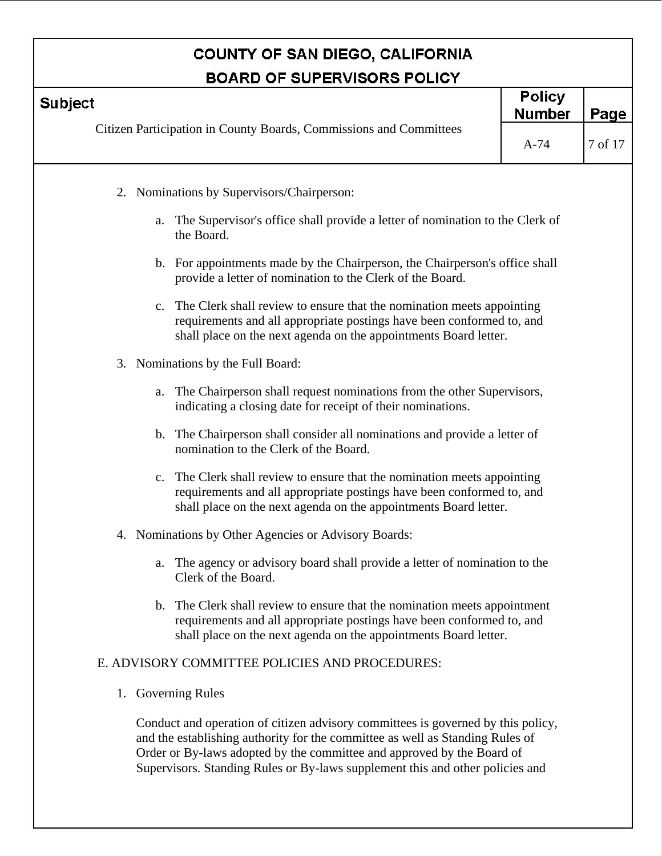|                    | <b>BOARD OF SUPERVISORS POLICY</b>                                                                                                                                                                                     |                                |         |
|--------------------|------------------------------------------------------------------------------------------------------------------------------------------------------------------------------------------------------------------------|--------------------------------|---------|
| <b>Subject</b>     |                                                                                                                                                                                                                        | <b>Policy</b><br><b>Number</b> | Page    |
|                    | Citizen Participation in County Boards, Commissions and Committees                                                                                                                                                     | $A-74$                         | 7 of 17 |
|                    | 2. Nominations by Supervisors/Chairperson:                                                                                                                                                                             |                                |         |
| a.                 | The Supervisor's office shall provide a letter of nomination to the Clerk of<br>the Board.                                                                                                                             |                                |         |
|                    | b. For appointments made by the Chairperson, the Chairperson's office shall<br>provide a letter of nomination to the Clerk of the Board.                                                                               |                                |         |
|                    | c. The Clerk shall review to ensure that the nomination meets appointing<br>requirements and all appropriate postings have been conformed to, and<br>shall place on the next agenda on the appointments Board letter.  |                                |         |
|                    | 3. Nominations by the Full Board:                                                                                                                                                                                      |                                |         |
|                    | a. The Chairperson shall request nominations from the other Supervisors,<br>indicating a closing date for receipt of their nominations.                                                                                |                                |         |
|                    | b. The Chairperson shall consider all nominations and provide a letter of<br>nomination to the Clerk of the Board.                                                                                                     |                                |         |
| c.                 | The Clerk shall review to ensure that the nomination meets appointing<br>requirements and all appropriate postings have been conformed to, and<br>shall place on the next agenda on the appointments Board letter.     |                                |         |
| 4.                 | Nominations by Other Agencies or Advisory Boards:                                                                                                                                                                      |                                |         |
|                    | The agency or advisory board shall provide a letter of nomination to the<br>Clerk of the Board.                                                                                                                        |                                |         |
|                    | b. The Clerk shall review to ensure that the nomination meets appointment<br>requirements and all appropriate postings have been conformed to, and<br>shall place on the next agenda on the appointments Board letter. |                                |         |
|                    | E. ADVISORY COMMITTEE POLICIES AND PROCEDURES:                                                                                                                                                                         |                                |         |
| 1. Governing Rules |                                                                                                                                                                                                                        |                                |         |

Conduct and operation of citizen advisory committees is governed by this policy, and the establishing authority for the committee as well as Standing Rules of Order or By-laws adopted by the committee and approved by the Board of Supervisors. Standing Rules or By-laws supplement this and other policies and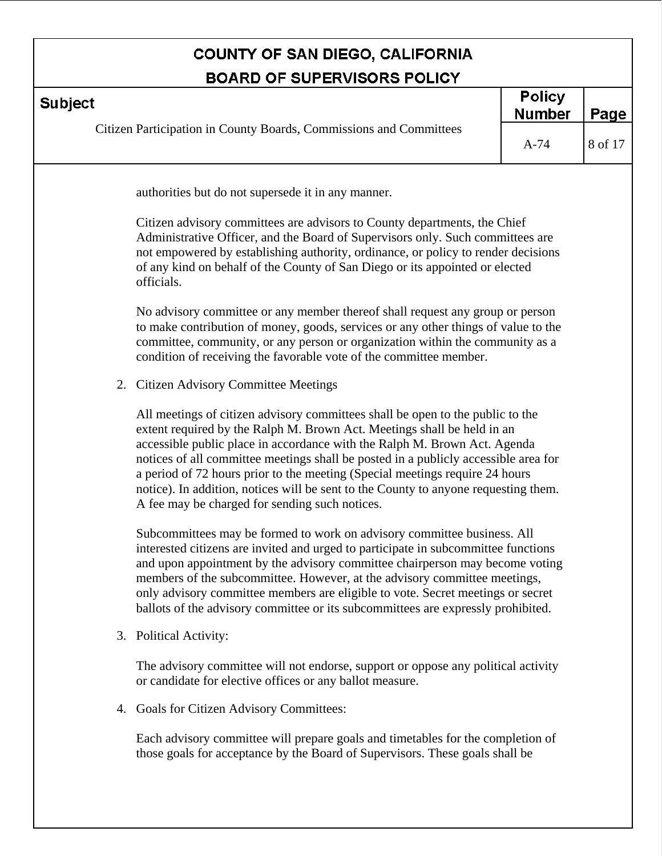|                | <b>BOARD OF SUPERVISORS POLICY</b>                                                                                                                                                                                                                                                                                                                                                                                                                                                                                                                     |                                |         |
|----------------|--------------------------------------------------------------------------------------------------------------------------------------------------------------------------------------------------------------------------------------------------------------------------------------------------------------------------------------------------------------------------------------------------------------------------------------------------------------------------------------------------------------------------------------------------------|--------------------------------|---------|
| <b>Subject</b> |                                                                                                                                                                                                                                                                                                                                                                                                                                                                                                                                                        | <b>Policy</b><br><b>Number</b> | Page    |
|                | Citizen Participation in County Boards, Commissions and Committees                                                                                                                                                                                                                                                                                                                                                                                                                                                                                     | $A-74$                         | 8 of 17 |
|                | authorities but do not supersede it in any manner.                                                                                                                                                                                                                                                                                                                                                                                                                                                                                                     |                                |         |
|                | Citizen advisory committees are advisors to County departments, the Chief<br>Administrative Officer, and the Board of Supervisors only. Such committees are<br>not empowered by establishing authority, ordinance, or policy to render decisions<br>of any kind on behalf of the County of San Diego or its appointed or elected<br>officials.                                                                                                                                                                                                         |                                |         |
|                | No advisory committee or any member thereof shall request any group or person<br>to make contribution of money, goods, services or any other things of value to the<br>committee, community, or any person or organization within the community as a<br>condition of receiving the favorable vote of the committee member.                                                                                                                                                                                                                             |                                |         |
|                | 2. Citizen Advisory Committee Meetings                                                                                                                                                                                                                                                                                                                                                                                                                                                                                                                 |                                |         |
|                | All meetings of citizen advisory committees shall be open to the public to the<br>extent required by the Ralph M. Brown Act. Meetings shall be held in an<br>accessible public place in accordance with the Ralph M. Brown Act. Agenda<br>notices of all committee meetings shall be posted in a publicly accessible area for<br>a period of 72 hours prior to the meeting (Special meetings require 24 hours<br>notice). In addition, notices will be sent to the County to anyone requesting them.<br>A fee may be charged for sending such notices. |                                |         |
|                | Subcommittees may be formed to work on advisory committee business. All<br>interested citizens are invited and urged to participate in subcommittee functions<br>and upon appointment by the advisory committee chairperson may become voting<br>members of the subcommittee. However, at the advisory committee meetings,<br>only advisory committee members are eligible to vote. Secret meetings or secret<br>ballots of the advisory committee or its subcommittees are expressly prohibited.                                                      |                                |         |
|                | 3. Political Activity:                                                                                                                                                                                                                                                                                                                                                                                                                                                                                                                                 |                                |         |
|                | The advisory committee will not endorse, support or oppose any political activity<br>or candidate for elective offices or any ballot measure.                                                                                                                                                                                                                                                                                                                                                                                                          |                                |         |
|                | 4. Goals for Citizen Advisory Committees:                                                                                                                                                                                                                                                                                                                                                                                                                                                                                                              |                                |         |
|                | Each advisory committee will prepare goals and timetables for the completion of                                                                                                                                                                                                                                                                                                                                                                                                                                                                        |                                |         |

Each advisory committee will prepare goals and timetables for the completion of those goals for acceptance by the Board of Supervisors. These goals shall be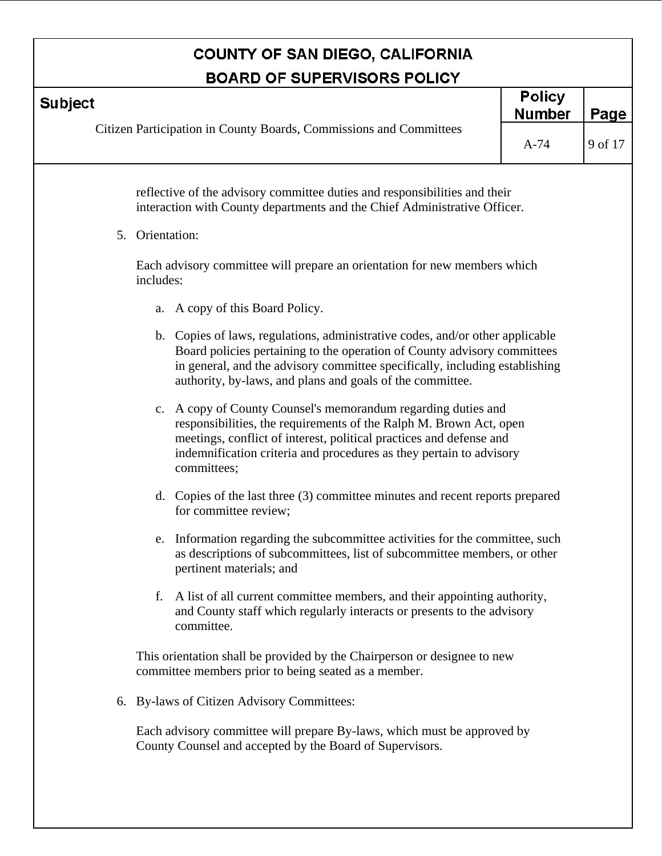| <b>Subject</b>                                                                                                                                                                                                                                                                                        | <b>Policy</b><br><b>Number</b> | Page    |
|-------------------------------------------------------------------------------------------------------------------------------------------------------------------------------------------------------------------------------------------------------------------------------------------------------|--------------------------------|---------|
| Citizen Participation in County Boards, Commissions and Committees                                                                                                                                                                                                                                    | $A-74$                         | 9 of 17 |
| reflective of the advisory committee duties and responsibilities and their<br>interaction with County departments and the Chief Administrative Officer.                                                                                                                                               |                                |         |
| 5. Orientation:                                                                                                                                                                                                                                                                                       |                                |         |
| Each advisory committee will prepare an orientation for new members which<br>includes:                                                                                                                                                                                                                |                                |         |
| A copy of this Board Policy.<br>a.                                                                                                                                                                                                                                                                    |                                |         |
| b. Copies of laws, regulations, administrative codes, and/or other applicable<br>Board policies pertaining to the operation of County advisory committees<br>in general, and the advisory committee specifically, including establishing<br>authority, by-laws, and plans and goals of the committee. |                                |         |
| c. A copy of County Counsel's memorandum regarding duties and<br>responsibilities, the requirements of the Ralph M. Brown Act, open<br>meetings, conflict of interest, political practices and defense and<br>indemnification criteria and procedures as they pertain to advisory<br>committees;      |                                |         |
| Copies of the last three (3) committee minutes and recent reports prepared<br>d.<br>for committee review;                                                                                                                                                                                             |                                |         |
| Information regarding the subcommittee activities for the committee, such<br>e.<br>as descriptions of subcommittees, list of subcommittee members, or other<br>pertinent materials; and                                                                                                               |                                |         |
| A list of all current committee members, and their appointing authority,<br>f.<br>and County staff which regularly interacts or presents to the advisory<br>committee.                                                                                                                                |                                |         |
| This orientation shall be provided by the Chairperson or designee to new<br>committee members prior to being seated as a member.                                                                                                                                                                      |                                |         |
| 6. By-laws of Citizen Advisory Committees:                                                                                                                                                                                                                                                            |                                |         |
| Each advisory committee will prepare By-laws, which must be approved by<br>County Counsel and accepted by the Board of Supervisors.                                                                                                                                                                   |                                |         |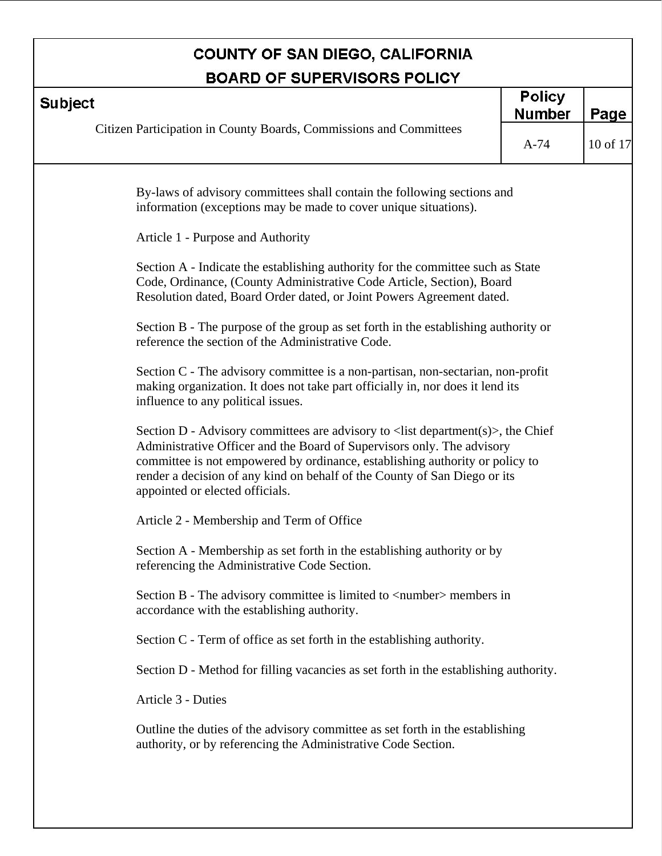| <b>Policy</b><br><b>Subject</b><br><b>Number</b><br>Page<br>Citizen Participation in County Boards, Commissions and Committees<br>10 of 17<br>$A-74$<br>By-laws of advisory committees shall contain the following sections and<br>information (exceptions may be made to cover unique situations).<br>Article 1 - Purpose and Authority                              |
|-----------------------------------------------------------------------------------------------------------------------------------------------------------------------------------------------------------------------------------------------------------------------------------------------------------------------------------------------------------------------|
|                                                                                                                                                                                                                                                                                                                                                                       |
|                                                                                                                                                                                                                                                                                                                                                                       |
|                                                                                                                                                                                                                                                                                                                                                                       |
|                                                                                                                                                                                                                                                                                                                                                                       |
| Section A - Indicate the establishing authority for the committee such as State<br>Code, Ordinance, (County Administrative Code Article, Section), Board<br>Resolution dated, Board Order dated, or Joint Powers Agreement dated.                                                                                                                                     |
| Section B - The purpose of the group as set forth in the establishing authority or<br>reference the section of the Administrative Code.                                                                                                                                                                                                                               |
| Section C - The advisory committee is a non-partisan, non-sectarian, non-profit<br>making organization. It does not take part officially in, nor does it lend its<br>influence to any political issues.                                                                                                                                                               |
| Section D - Advisory committees are advisory to $\langle$ list department $(s)$ , the Chief<br>Administrative Officer and the Board of Supervisors only. The advisory<br>committee is not empowered by ordinance, establishing authority or policy to<br>render a decision of any kind on behalf of the County of San Diego or its<br>appointed or elected officials. |
| Article 2 - Membership and Term of Office                                                                                                                                                                                                                                                                                                                             |
| Section A - Membership as set forth in the establishing authority or by<br>referencing the Administrative Code Section.                                                                                                                                                                                                                                               |
| Section B - The advisory committee is limited to $\langle$ number $\rangle$ members in<br>accordance with the establishing authority.                                                                                                                                                                                                                                 |
| Section C - Term of office as set forth in the establishing authority.                                                                                                                                                                                                                                                                                                |
| Section D - Method for filling vacancies as set forth in the establishing authority.                                                                                                                                                                                                                                                                                  |
| Article 3 - Duties                                                                                                                                                                                                                                                                                                                                                    |
| Outline the duties of the advisory committee as set forth in the establishing<br>authority, or by referencing the Administrative Code Section.                                                                                                                                                                                                                        |
|                                                                                                                                                                                                                                                                                                                                                                       |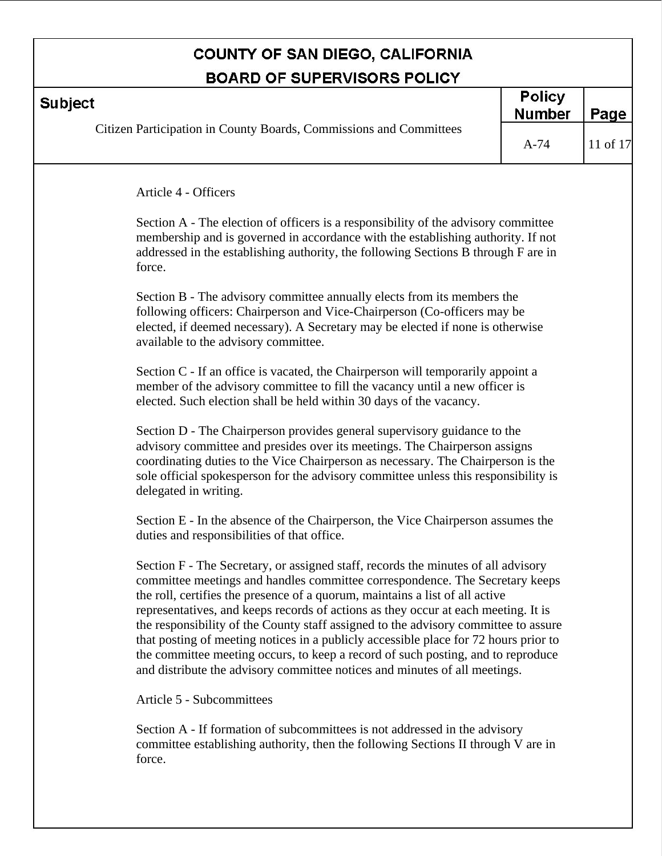|                                                                                                                                                                                                                                                                                                                                                                                                                                                                                                                                                                                                                                                                                          | <b>Policy</b> |          |
|------------------------------------------------------------------------------------------------------------------------------------------------------------------------------------------------------------------------------------------------------------------------------------------------------------------------------------------------------------------------------------------------------------------------------------------------------------------------------------------------------------------------------------------------------------------------------------------------------------------------------------------------------------------------------------------|---------------|----------|
| <b>Subject</b>                                                                                                                                                                                                                                                                                                                                                                                                                                                                                                                                                                                                                                                                           | <b>Number</b> | Page     |
| Citizen Participation in County Boards, Commissions and Committees                                                                                                                                                                                                                                                                                                                                                                                                                                                                                                                                                                                                                       | $A-74$        | 11 of 17 |
| Article 4 - Officers                                                                                                                                                                                                                                                                                                                                                                                                                                                                                                                                                                                                                                                                     |               |          |
| Section A - The election of officers is a responsibility of the advisory committee<br>membership and is governed in accordance with the establishing authority. If not<br>addressed in the establishing authority, the following Sections B through F are in<br>force.                                                                                                                                                                                                                                                                                                                                                                                                                   |               |          |
| Section B - The advisory committee annually elects from its members the<br>following officers: Chairperson and Vice-Chairperson (Co-officers may be<br>elected, if deemed necessary). A Secretary may be elected if none is otherwise<br>available to the advisory committee.                                                                                                                                                                                                                                                                                                                                                                                                            |               |          |
| Section C - If an office is vacated, the Chairperson will temporarily appoint a<br>member of the advisory committee to fill the vacancy until a new officer is<br>elected. Such election shall be held within 30 days of the vacancy.                                                                                                                                                                                                                                                                                                                                                                                                                                                    |               |          |
| Section D - The Chairperson provides general supervisory guidance to the<br>advisory committee and presides over its meetings. The Chairperson assigns<br>coordinating duties to the Vice Chairperson as necessary. The Chairperson is the<br>sole official spokesperson for the advisory committee unless this responsibility is<br>delegated in writing.                                                                                                                                                                                                                                                                                                                               |               |          |
| Section E - In the absence of the Chairperson, the Vice Chairperson assumes the<br>duties and responsibilities of that office.                                                                                                                                                                                                                                                                                                                                                                                                                                                                                                                                                           |               |          |
| Section F - The Secretary, or assigned staff, records the minutes of all advisory<br>committee meetings and handles committee correspondence. The Secretary keeps<br>the roll, certifies the presence of a quorum, maintains a list of all active<br>representatives, and keeps records of actions as they occur at each meeting. It is<br>the responsibility of the County staff assigned to the advisory committee to assure<br>that posting of meeting notices in a publicly accessible place for 72 hours prior to<br>the committee meeting occurs, to keep a record of such posting, and to reproduce<br>and distribute the advisory committee notices and minutes of all meetings. |               |          |
| Article 5 - Subcommittees                                                                                                                                                                                                                                                                                                                                                                                                                                                                                                                                                                                                                                                                |               |          |
| Section A - If formation of subcommittees is not addressed in the advisory<br>committee establishing authority, then the following Sections II through V are in<br>force.                                                                                                                                                                                                                                                                                                                                                                                                                                                                                                                |               |          |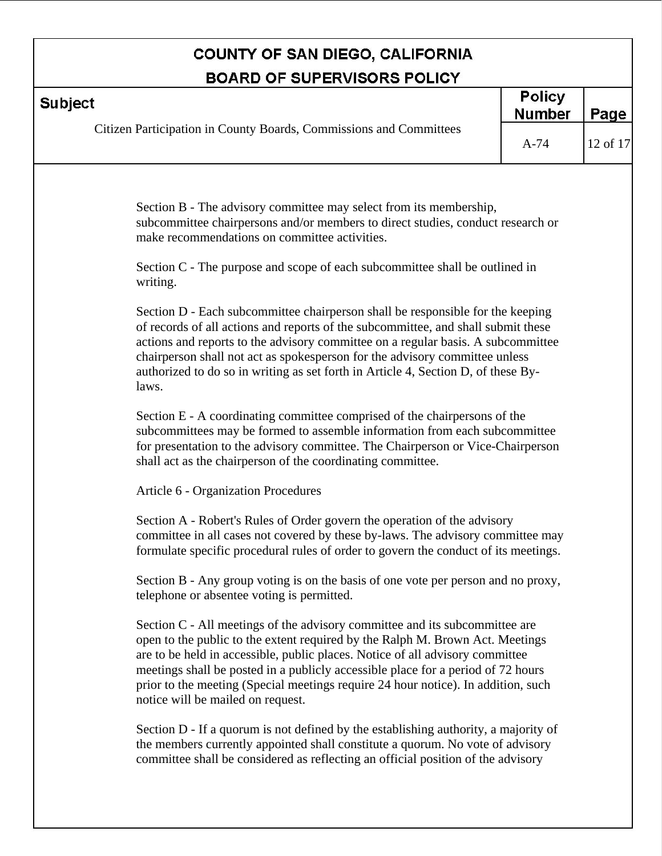| <b>BOARD OF SUPERVISORS POLICY</b>                                                                                                                                                                                                                                                                                                                                                                                                                          |                                |          |
|-------------------------------------------------------------------------------------------------------------------------------------------------------------------------------------------------------------------------------------------------------------------------------------------------------------------------------------------------------------------------------------------------------------------------------------------------------------|--------------------------------|----------|
| <b>Subject</b>                                                                                                                                                                                                                                                                                                                                                                                                                                              | <b>Policy</b><br><b>Number</b> | Page     |
| Citizen Participation in County Boards, Commissions and Committees                                                                                                                                                                                                                                                                                                                                                                                          | $A-74$                         | 12 of 17 |
| Section B - The advisory committee may select from its membership,<br>subcommittee chairpersons and/or members to direct studies, conduct research or<br>make recommendations on committee activities.                                                                                                                                                                                                                                                      |                                |          |
| Section C - The purpose and scope of each subcommittee shall be outlined in<br>writing.                                                                                                                                                                                                                                                                                                                                                                     |                                |          |
| Section D - Each subcommittee chairperson shall be responsible for the keeping<br>of records of all actions and reports of the subcommittee, and shall submit these<br>actions and reports to the advisory committee on a regular basis. A subcommittee<br>chairperson shall not act as spokesperson for the advisory committee unless<br>authorized to do so in writing as set forth in Article 4, Section D, of these By-<br>laws.                        |                                |          |
| Section E - A coordinating committee comprised of the chairpersons of the<br>subcommittees may be formed to assemble information from each subcommittee<br>for presentation to the advisory committee. The Chairperson or Vice-Chairperson<br>shall act as the chairperson of the coordinating committee.                                                                                                                                                   |                                |          |
| Article 6 - Organization Procedures                                                                                                                                                                                                                                                                                                                                                                                                                         |                                |          |
| Section A - Robert's Rules of Order govern the operation of the advisory<br>committee in all cases not covered by these by-laws. The advisory committee may<br>formulate specific procedural rules of order to govern the conduct of its meetings.                                                                                                                                                                                                          |                                |          |
| Section B - Any group voting is on the basis of one vote per person and no proxy,<br>telephone or absentee voting is permitted.                                                                                                                                                                                                                                                                                                                             |                                |          |
| Section C - All meetings of the advisory committee and its subcommittee are<br>open to the public to the extent required by the Ralph M. Brown Act. Meetings<br>are to be held in accessible, public places. Notice of all advisory committee<br>meetings shall be posted in a publicly accessible place for a period of 72 hours<br>prior to the meeting (Special meetings require 24 hour notice). In addition, such<br>notice will be mailed on request. |                                |          |
| Section D - If a quorum is not defined by the establishing authority, a majority of<br>the members currently appointed shall constitute a quorum. No vote of advisory<br>committee shall be considered as reflecting an official position of the advisory                                                                                                                                                                                                   |                                |          |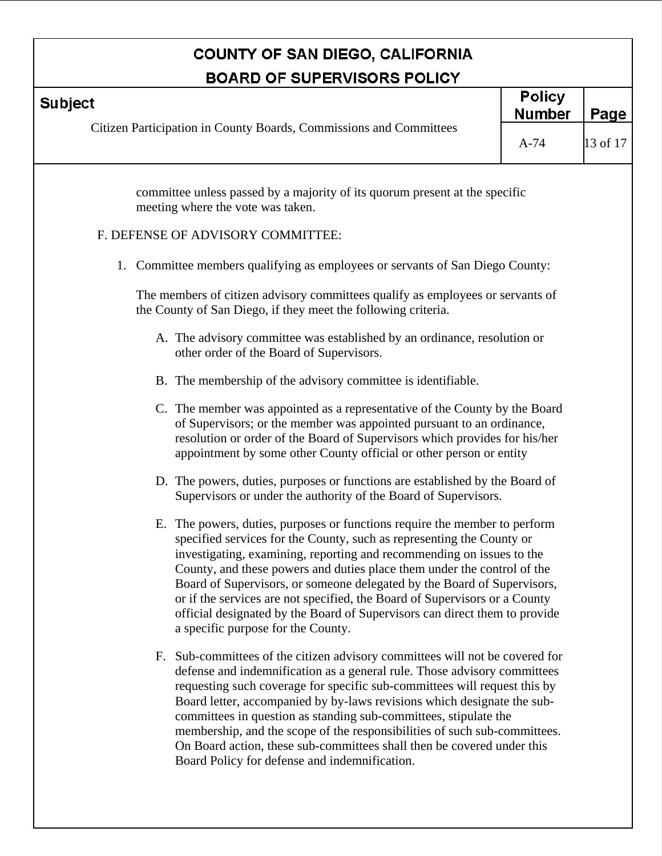| <b>BOARD OF SUPERVISORS POLICY</b>                                                                                                                                                                                                                                                                                                                                                                                                                                                                                                                                                           |                         |                  |  |  |
|----------------------------------------------------------------------------------------------------------------------------------------------------------------------------------------------------------------------------------------------------------------------------------------------------------------------------------------------------------------------------------------------------------------------------------------------------------------------------------------------------------------------------------------------------------------------------------------------|-------------------------|------------------|--|--|
| <b>Subject</b>                                                                                                                                                                                                                                                                                                                                                                                                                                                                                                                                                                               |                         | Page             |  |  |
| Citizen Participation in County Boards, Commissions and Committees                                                                                                                                                                                                                                                                                                                                                                                                                                                                                                                           | <b>Number</b><br>$A-74$ | $\vert$ 13 of 17 |  |  |
| committee unless passed by a majority of its quorum present at the specific<br>meeting where the vote was taken.                                                                                                                                                                                                                                                                                                                                                                                                                                                                             |                         |                  |  |  |
| F. DEFENSE OF ADVISORY COMMITTEE:                                                                                                                                                                                                                                                                                                                                                                                                                                                                                                                                                            |                         |                  |  |  |
| 1. Committee members qualifying as employees or servants of San Diego County:                                                                                                                                                                                                                                                                                                                                                                                                                                                                                                                |                         |                  |  |  |
| The members of citizen advisory committees qualify as employees or servants of<br>the County of San Diego, if they meet the following criteria.                                                                                                                                                                                                                                                                                                                                                                                                                                              |                         |                  |  |  |
| A. The advisory committee was established by an ordinance, resolution or<br>other order of the Board of Supervisors.                                                                                                                                                                                                                                                                                                                                                                                                                                                                         |                         |                  |  |  |
| B. The membership of the advisory committee is identifiable.                                                                                                                                                                                                                                                                                                                                                                                                                                                                                                                                 |                         |                  |  |  |
| C. The member was appointed as a representative of the County by the Board<br>of Supervisors; or the member was appointed pursuant to an ordinance,<br>resolution or order of the Board of Supervisors which provides for his/her<br>appointment by some other County official or other person or entity                                                                                                                                                                                                                                                                                     |                         |                  |  |  |
| D. The powers, duties, purposes or functions are established by the Board of<br>Supervisors or under the authority of the Board of Supervisors.                                                                                                                                                                                                                                                                                                                                                                                                                                              |                         |                  |  |  |
| E. The powers, duties, purposes or functions require the member to perform<br>specified services for the County, such as representing the County or<br>investigating, examining, reporting and recommending on issues to the<br>County, and these powers and duties place them under the control of the<br>Board of Supervisors, or someone delegated by the Board of Supervisors,<br>or if the services are not specified, the Board of Supervisors or a County<br>official designated by the Board of Supervisors can direct them to provide<br>a specific purpose for the County.         |                         |                  |  |  |
| F. Sub-committees of the citizen advisory committees will not be covered for<br>defense and indemnification as a general rule. Those advisory committees<br>requesting such coverage for specific sub-committees will request this by<br>Board letter, accompanied by by-laws revisions which designate the sub-<br>committees in question as standing sub-committees, stipulate the<br>membership, and the scope of the responsibilities of such sub-committees.<br>On Board action, these sub-committees shall then be covered under this<br>Board Policy for defense and indemnification. |                         |                  |  |  |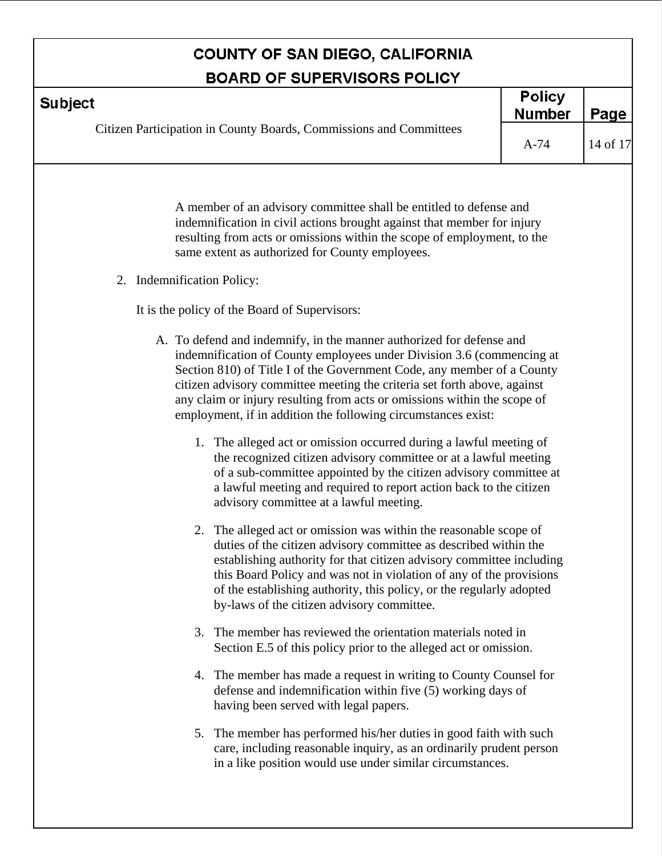| <b>BOARD OF SUPERVISORS POLICY</b> |                                                                                                                                                                                                                                                                                                                                                                                                                                                                                                                                                                                            |                                |          |  |
|------------------------------------|--------------------------------------------------------------------------------------------------------------------------------------------------------------------------------------------------------------------------------------------------------------------------------------------------------------------------------------------------------------------------------------------------------------------------------------------------------------------------------------------------------------------------------------------------------------------------------------------|--------------------------------|----------|--|
| <b>Subject</b>                     |                                                                                                                                                                                                                                                                                                                                                                                                                                                                                                                                                                                            | <b>Policy</b><br><b>Number</b> | Page     |  |
|                                    | Citizen Participation in County Boards, Commissions and Committees                                                                                                                                                                                                                                                                                                                                                                                                                                                                                                                         | $A-74$                         | 14 of 17 |  |
|                                    | A member of an advisory committee shall be entitled to defense and<br>indemnification in civil actions brought against that member for injury<br>resulting from acts or omissions within the scope of employment, to the<br>same extent as authorized for County employees.                                                                                                                                                                                                                                                                                                                |                                |          |  |
| 2. Indemnification Policy:         |                                                                                                                                                                                                                                                                                                                                                                                                                                                                                                                                                                                            |                                |          |  |
|                                    | It is the policy of the Board of Supervisors:                                                                                                                                                                                                                                                                                                                                                                                                                                                                                                                                              |                                |          |  |
|                                    | A. To defend and indemnify, in the manner authorized for defense and<br>indemnification of County employees under Division 3.6 (commencing at<br>Section 810) of Title I of the Government Code, any member of a County<br>citizen advisory committee meeting the criteria set forth above, against<br>any claim or injury resulting from acts or omissions within the scope of<br>employment, if in addition the following circumstances exist:<br>1. The alleged act or omission occurred during a lawful meeting of<br>the recognized citizen advisory committee or at a lawful meeting |                                |          |  |
|                                    | of a sub-committee appointed by the citizen advisory committee at<br>a lawful meeting and required to report action back to the citizen<br>advisory committee at a lawful meeting.                                                                                                                                                                                                                                                                                                                                                                                                         |                                |          |  |
|                                    | 2. The alleged act or omission was within the reasonable scope of<br>duties of the citizen advisory committee as described within the<br>establishing authority for that citizen advisory committee including<br>this Board Policy and was not in violation of any of the provisions<br>of the establishing authority, this policy, or the regularly adopted<br>by-laws of the citizen advisory committee.                                                                                                                                                                                 |                                |          |  |
|                                    | 3. The member has reviewed the orientation materials noted in<br>Section E.5 of this policy prior to the alleged act or omission.                                                                                                                                                                                                                                                                                                                                                                                                                                                          |                                |          |  |
|                                    | 4. The member has made a request in writing to County Counsel for<br>defense and indemnification within five (5) working days of<br>having been served with legal papers.                                                                                                                                                                                                                                                                                                                                                                                                                  |                                |          |  |
|                                    | 5. The member has performed his/her duties in good faith with such<br>care, including reasonable inquiry, as an ordinarily prudent person<br>in a like position would use under similar circumstances.                                                                                                                                                                                                                                                                                                                                                                                     |                                |          |  |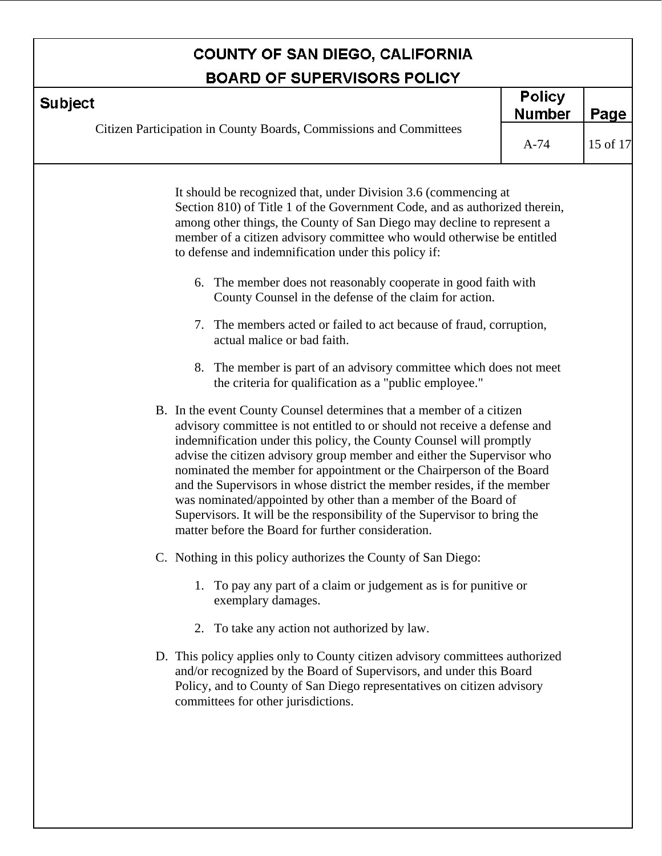| <b>BOARD OF SUPERVISORS POLICY</b> |                                                                                                                                                                                                                                                                                                                                                                                                                                                                                                                                                                                                                                                                                                                                                                                                                                                                                                                                                                                                                                                                                                                                                                                                                                                                                                                                                                                                                                                                                                                                                                                                      |                                |          |
|------------------------------------|------------------------------------------------------------------------------------------------------------------------------------------------------------------------------------------------------------------------------------------------------------------------------------------------------------------------------------------------------------------------------------------------------------------------------------------------------------------------------------------------------------------------------------------------------------------------------------------------------------------------------------------------------------------------------------------------------------------------------------------------------------------------------------------------------------------------------------------------------------------------------------------------------------------------------------------------------------------------------------------------------------------------------------------------------------------------------------------------------------------------------------------------------------------------------------------------------------------------------------------------------------------------------------------------------------------------------------------------------------------------------------------------------------------------------------------------------------------------------------------------------------------------------------------------------------------------------------------------------|--------------------------------|----------|
| <b>Subject</b>                     |                                                                                                                                                                                                                                                                                                                                                                                                                                                                                                                                                                                                                                                                                                                                                                                                                                                                                                                                                                                                                                                                                                                                                                                                                                                                                                                                                                                                                                                                                                                                                                                                      | <b>Policy</b><br><b>Number</b> | Page     |
|                                    | Citizen Participation in County Boards, Commissions and Committees                                                                                                                                                                                                                                                                                                                                                                                                                                                                                                                                                                                                                                                                                                                                                                                                                                                                                                                                                                                                                                                                                                                                                                                                                                                                                                                                                                                                                                                                                                                                   |                                | 15 of 17 |
|                                    | It should be recognized that, under Division 3.6 (commencing at<br>Section 810) of Title 1 of the Government Code, and as authorized therein,<br>among other things, the County of San Diego may decline to represent a<br>member of a citizen advisory committee who would otherwise be entitled<br>to defense and indemnification under this policy if:<br>6. The member does not reasonably cooperate in good faith with<br>County Counsel in the defense of the claim for action.<br>7. The members acted or failed to act because of fraud, corruption,<br>actual malice or bad faith.<br>8. The member is part of an advisory committee which does not meet<br>the criteria for qualification as a "public employee."<br>B. In the event County Counsel determines that a member of a citizen<br>advisory committee is not entitled to or should not receive a defense and<br>indemnification under this policy, the County Counsel will promptly<br>advise the citizen advisory group member and either the Supervisor who<br>nominated the member for appointment or the Chairperson of the Board<br>and the Supervisors in whose district the member resides, if the member<br>was nominated/appointed by other than a member of the Board of<br>Supervisors. It will be the responsibility of the Supervisor to bring the<br>matter before the Board for further consideration.<br>C. Nothing in this policy authorizes the County of San Diego:<br>1. To pay any part of a claim or judgement as is for punitive or<br>exemplary damages.<br>2. To take any action not authorized by law. | $A-74$                         |          |
|                                    | D. This policy applies only to County citizen advisory committees authorized<br>and/or recognized by the Board of Supervisors, and under this Board<br>Policy, and to County of San Diego representatives on citizen advisory<br>committees for other jurisdictions.                                                                                                                                                                                                                                                                                                                                                                                                                                                                                                                                                                                                                                                                                                                                                                                                                                                                                                                                                                                                                                                                                                                                                                                                                                                                                                                                 |                                |          |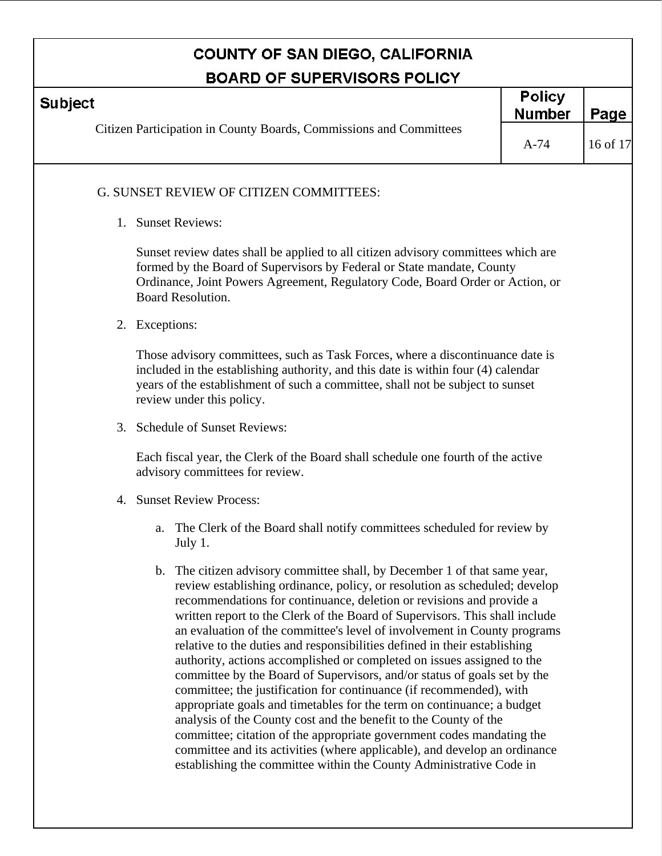| <b>BOARD OF SUPERVISORS POLICY</b>                                                   |                                                                                                                                                                                                                                                                                                                                                                                                                                                                                                                                                                                                                                                                                                                                                                                                                                                                                                                             |                                |          |  |
|--------------------------------------------------------------------------------------|-----------------------------------------------------------------------------------------------------------------------------------------------------------------------------------------------------------------------------------------------------------------------------------------------------------------------------------------------------------------------------------------------------------------------------------------------------------------------------------------------------------------------------------------------------------------------------------------------------------------------------------------------------------------------------------------------------------------------------------------------------------------------------------------------------------------------------------------------------------------------------------------------------------------------------|--------------------------------|----------|--|
| <b>Subject</b><br>Citizen Participation in County Boards, Commissions and Committees |                                                                                                                                                                                                                                                                                                                                                                                                                                                                                                                                                                                                                                                                                                                                                                                                                                                                                                                             | <b>Policy</b><br><b>Number</b> | Page     |  |
|                                                                                      |                                                                                                                                                                                                                                                                                                                                                                                                                                                                                                                                                                                                                                                                                                                                                                                                                                                                                                                             | $A-74$                         | 16 of 17 |  |
|                                                                                      | G. SUNSET REVIEW OF CITIZEN COMMITTEES:                                                                                                                                                                                                                                                                                                                                                                                                                                                                                                                                                                                                                                                                                                                                                                                                                                                                                     |                                |          |  |
|                                                                                      | 1. Sunset Reviews:                                                                                                                                                                                                                                                                                                                                                                                                                                                                                                                                                                                                                                                                                                                                                                                                                                                                                                          |                                |          |  |
|                                                                                      | Sunset review dates shall be applied to all citizen advisory committees which are<br>formed by the Board of Supervisors by Federal or State mandate, County<br>Ordinance, Joint Powers Agreement, Regulatory Code, Board Order or Action, or<br><b>Board Resolution.</b>                                                                                                                                                                                                                                                                                                                                                                                                                                                                                                                                                                                                                                                    |                                |          |  |
|                                                                                      | 2. Exceptions:                                                                                                                                                                                                                                                                                                                                                                                                                                                                                                                                                                                                                                                                                                                                                                                                                                                                                                              |                                |          |  |
|                                                                                      | Those advisory committees, such as Task Forces, where a discontinuance date is<br>included in the establishing authority, and this date is within four (4) calendar<br>years of the establishment of such a committee, shall not be subject to sunset<br>review under this policy.                                                                                                                                                                                                                                                                                                                                                                                                                                                                                                                                                                                                                                          |                                |          |  |
|                                                                                      | 3. Schedule of Sunset Reviews:                                                                                                                                                                                                                                                                                                                                                                                                                                                                                                                                                                                                                                                                                                                                                                                                                                                                                              |                                |          |  |
|                                                                                      | Each fiscal year, the Clerk of the Board shall schedule one fourth of the active<br>advisory committees for review.                                                                                                                                                                                                                                                                                                                                                                                                                                                                                                                                                                                                                                                                                                                                                                                                         |                                |          |  |
|                                                                                      | 4. Sunset Review Process:                                                                                                                                                                                                                                                                                                                                                                                                                                                                                                                                                                                                                                                                                                                                                                                                                                                                                                   |                                |          |  |
|                                                                                      | a. The Clerk of the Board shall notify committees scheduled for review by<br>July 1.                                                                                                                                                                                                                                                                                                                                                                                                                                                                                                                                                                                                                                                                                                                                                                                                                                        |                                |          |  |
|                                                                                      | b. The citizen advisory committee shall, by December 1 of that same year,<br>review establishing ordinance, policy, or resolution as scheduled; develop<br>recommendations for continuance, deletion or revisions and provide a<br>written report to the Clerk of the Board of Supervisors. This shall include<br>an evaluation of the committee's level of involvement in County programs<br>relative to the duties and responsibilities defined in their establishing<br>authority, actions accomplished or completed on issues assigned to the<br>committee by the Board of Supervisors, and/or status of goals set by the<br>committee; the justification for continuance (if recommended), with<br>appropriate goals and timetables for the term on continuance; a budget<br>analysis of the County cost and the benefit to the County of the<br>committee; citation of the appropriate government codes mandating the |                                |          |  |

committee and its activities (where applicable), and develop an ordinance establishing the committee within the County Administrative Code in